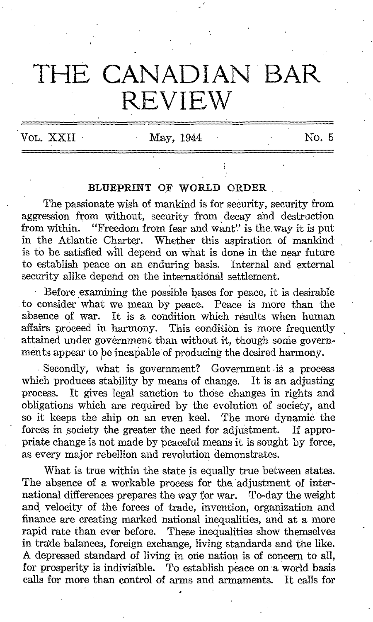## THE CANADIAN BAR **REVIEW**

VOL.  $XXII$  May,  $1944$  No. 5

## BLUEPRINT OF WORLD ORDER

The passionate wish of mankind is for security, security from aggression from without, security from decay and destruction from within. "Freedom from fear and want" is the way it is put. "Freedom from fear and want" is the way it is put in the Atlantic Charter. Whether this aspiration of mankind is to be satisfied will depend on what is done in the near future to establish peace on an enduring basis, Internal and external security alike depend on the international settlement.

Before examining the possible bases for peace, it is desirable to consider what we mean by peace. Peace is more than the absence of war. It is a condition which results when human affairs proceed in harmony. This condition is more frequently attained under government than without it, though some governments appear to be incapable of producing the desired harmony.

Secondly, what is government? Government is a process which produces stability by means of change. It is an adjusting process. It gives legal sanction to those changes in rights and It gives legal sanction to those changes in rights and obligations which are required by the evolution of society, and so it keeps the ship on an even keel. The more dynamic the forces in society the greater the need for adjustment. If appropriate change is not made by peaceful means it is sought by force, as every major rebellion and revolution demonstrates.

What is true within the state is equally true between states. The absence of a workable process for the adjustment of international differences prepares the way for war. To-day the weight and velocity of the forces of trade, invention, organization and finance are creating marked national inequalities, and at a more rapid rate than ever before. These inequalities show themselves in trade balances, foreign exchange, living standards and the like. A depressed standard of living in one nation is of concern to all, for prosperity is indivisible. To establish peace on a world basis calls for more than control of arms and armaments. It calls for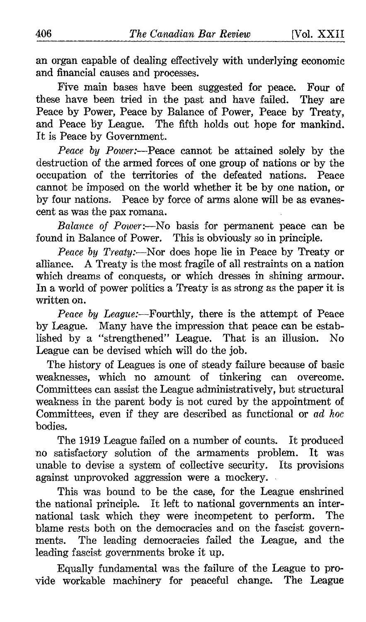an organ capable of dealing effectively with underlying economic and financial causes and processes.

Five main bases have been suggested for peace. Four of these have been tried in the past and have failed. They are Peace by Power, Peace by Balance of Power, Peace by Treaty, and Peace by League. The fifth holds out hope for mankind. It is Peace by Government.

Peace by Power:—Peace cannot be attained solely by the destruction of the armed forces of one group of nations or by the occupation of the territories of the defeated nations. Peace cannot be imposed on the world whether it be by one nation, or by four nations. Peace by force of arms alone will be as evanescent as was the pax romana.

Balance of Power:--No basis for permanent peace can be found in Balance of Power. This is obviously so in principle.

Peace by Treaty:-Nor does hope lie in Peace by Treaty or alliance. ATreaty is the most fragile of all restraints on <sup>a</sup> nation which dreams of conquests, or which dresses in shining armour. In a world of power politics a Treaty is as strong as the paper it is written on.

Peace by League:---Fourthly, there is the attempt of Peace by League. Many have the impression that peace can be established by a "strengthened" League. That is an illusion. No League can be devised which will do the job.

The history of Leagues is one of steady failure because of basic weaknesses, which no amount of tinkering can overcome. Committees can assist the League administratively, but structural weakness in the parent body is not cured by the appointment of Committees, even if they are described as functional or ad hoc bodies .

The 1919 League failed on a number of counts. It produced no satisfactory solution of the armaments problem. It was unable to devise a system of collective security. Its provisions against unprovoked aggression were a mockery.

This was bound to be the case, for the League enshrined the national principle. It left to national governments an inter-<br>national task which they were incompetent to perform. The national task which they were incompetent to perform. blame rests both on the democracies and on the fascist govern-<br>ments. The leading democracies failed the League, and the The leading democracies failed the League, and the leading fascist governments broke it up.

Equally fundamental was the failure of the League to provide workable machinery for peaceful change. The League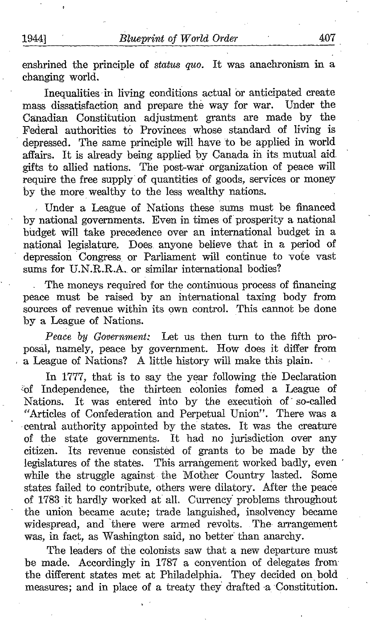enshrined the principle of *status quo*. It was anachronism in a changing world.

Inequalities in living conditions actual or anticipated create mass dissatisfaction and prepare the way for war. Under the Canadian Constitution adjustment grants are made by the Federal authorities to Provinces whose standard of living is depressed. The same principle will have to be applied in world affairs. It is already being applied by Canada in its mutual aid. gifts to allied nations. The post-war organization of peace will require the free supply of quantities of goods, services or money by the more wealthy to the less wealthy nations.

Under a League of Nations these sums must be financed by national governments. Even in times of prosperity a national budget will take precedence over an international budget in a national legislature. Does anyone believe that in a period of depression Congress, or Parliament will continue to vote vast sums for U.N.R.R.A. or similar international bodies?

The moneys required for the continuous process of financing peace must be raised by an international taxing body from sources of revenue within its own control. This cannot be done by a League of Nations.

Peace by Government: Let us then turn to the fifth proposal, namely, peace by government. How does it differ from <sup>a</sup> League of Nations? A little history will make this plain.

In 1777, that is to say the year following the Declaration 'of Independence, the thirteen colonies fomed a League of It was entered into by the execution of so-called "Articles of Confederation and Perpetual Union". There was a central authority appointed by the- states. It was the creature of the state governments. It had no jurisdiction over any citizen. Its revenue consisted of grants to be made by the Its revenue consisted of grants to be made by the legislatures of the states. This arrangement worked badly, even while the struggle against the Mother Country lasted. Some states failed to contribute, others were dilatory. After the peace of 1783 it hardly worked at all. Currency problems throughout the union became acute; trade languished, insolvency became widespread, and there were armed revolts. The arrangement was, in fact, as Washington said, no better than anarchy.

The leaders of the colonists saw that a new departure must be made. Accordingly in 1787 a convention of delegates from the different states met at Philadelphia. They decided on bold measures; and in place of a treaty they drafted a Constitution.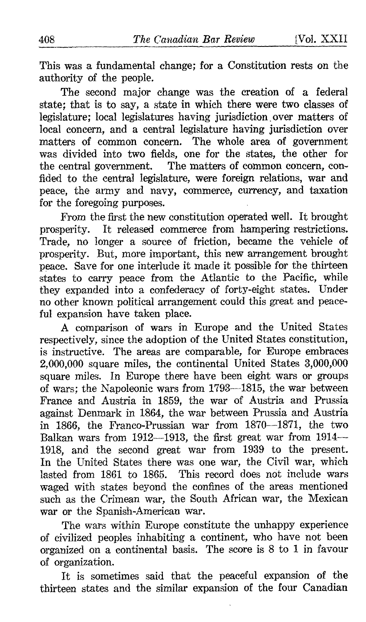This was a fundamental change; for a Constitution rests on the authority of the people.

The second major change was the creation of a federal state; that is to say, a state in which there were two classes of legislature: local legislatures having jurisdiction over matters of local concern, and a central legislature having jurisdiction over matters of common concern. The whole area of government was divided into two fields, one for the states, the other for the central government. The matters of common concern, confided to the central legislature, were foreign relations, war and peace, the army and navy, commerce, currency, and taxation for the foregoing purposes.

From the first the new constitution operated well. It brought prosperity. It released commerce from hampering restrictions. Trade, no longer a source of friction, became the vehicle of prosperity. But, more important, this new arrangement brought peace. Save for one interlude it made it possible for the thirteen states to carry peace from the Atlantic to the Pacific, while they expanded into a confederacy of forty-eight states. Under no other known political arrangement could this great and peaceful expansion have taken place.

A comparison of wars in Europe and the United States respectively, since the adoption of the United States constitution, is instructive. The areas are comparable, for Europe embraces 2,000,000 square miles, the continental United States 3,000,000 square miles. In Europe there have been eight wars or groups of wars; the Napoleonic wars from 1793-1815, the war between France and Austria in 1859, the war of Austria and Prussia against Denmark in 1864, the war between Prussia and Austria in 1866, the Franco-Prussian war from 1870-1871, the two Balkan wars from 1912-1913, the first great war from 1914-1918, and the second great war from 1939 to the present. In the United States there was one war, the Civil war, which lasted from 1861 to 1865. This record does not include wars waged with states beyond the confines of the areas mentioned such as the Crimean war, the South African war, the Mexican war or the Spanish-American war.

The wars within Europe constitute the unhappy experience of civilized peoples inhabiting a continent, who have not been organized on a continental basis. The score is 8 to <sup>1</sup> in favour of organization .

It is sometimes said that the peaceful expansion of the thirteen states and the similar expansion of the four Canadian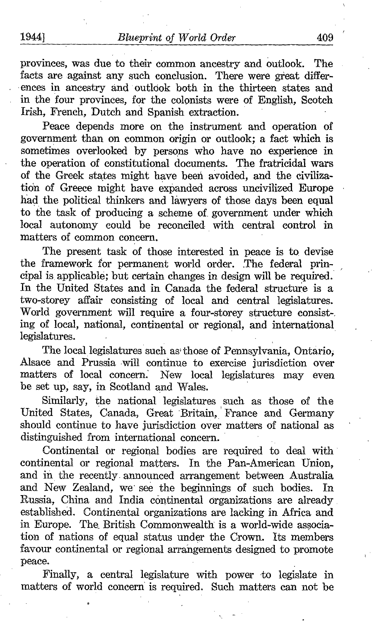provinces, was due to their common ancestry and outlook. The facts are against any such conclusion. There were great differences in ancestry and outlook both in the thirteen states and in the four provinces, for the colonists were of English, Scotch Irish, French, Dutch and Spanish extraction.

Peace depends more on the instrument and operation of government than on common origin or outlook; a fact which is sometimes overlooked by persons who have no experience in the operation of constitutional documents. The fratricidal wars of the Greek states might have been avoided, and the civilization of Greece might have expanded across uncivilized Europe had the political thinkers and lawyers of those days been equal to the task of producing a scheme of. government under which local autonomy could be reconciled with central control in matters of common concern.

The present task of those interested in peace is to devise the framework for permanent world order. The federal principal is, applicable; but certain changes in design will be required. In the United States and in Canada the federal structure is a two-storey affair consisting of local and central legislatures. World government will require a four-storey structure consist-, ing of local, national, continental or regional, and international legislatures. .

The local legislatures such as those of Pennsylvania, Ontario, Alsace and Prussia will continue to exercise jurisdiction over matters of local concern. New local legislatures may even be set up, say, in Scotland and Wales.

Similarly, the national legislatures such as those of the United States, Canada, Great Britain, 'France and Germany should continue to have jurisdiction over matters of national as distinguished from international concern.

Continental or regional bodies are required to deal with continental or regional matters. In the Pan-American Union, and in the recently announced arrangement between Australia and New Zealand, we see the beginnings of such bodies. In and New Zealand, we see the beginnings of such bodies. Russia, China and India continental organizations are already established. Continental organizations are lacking in Africa and in Europe. The British Commonwealth is a world-wide association of nations of equal status under the Crown. Its members favour continental or regional arrangements designed to promote peace.

Finally, a central legislature with power to legislate in matters of world concern is required. Such matters can not be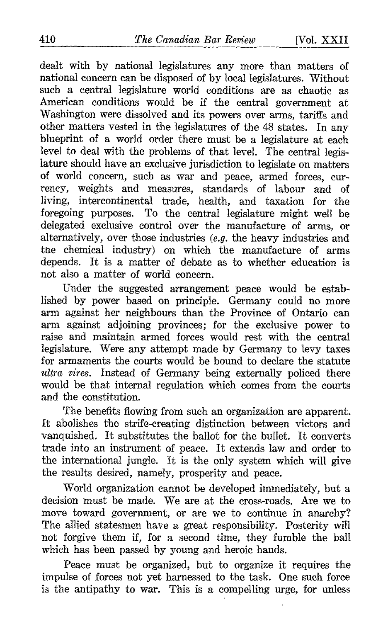dealt with by national legislatures any more than matters of national concern can be disposed of by local legislatures. Without such a central legislature world conditions are as chaotic as American conditions would be if the central government at Washington were dissolved and its powers over arms, tariffs and other matters vested in the legislatures of the 48 states. In any blueprint of a world order there must be a legislature at each level to deal with the problems of that level. The central legislature should have an exclusive jurisdiction to legislate on matters of world concern, such as war and peace, armed forces, currency, weights and measures, standards of labour and of living, intercontinental trade, health, and taxation for the foregoing purposes . To the central legislature might well be delegated exclusive control over the manufacture of arms, or alternatively, over those industries (e.g. the heavy industries and the chemical industry) on which the manufacture of arms depends. It is a matter of debate as to whether education is not also a matter of world concern.

Under the suggested arrangement peace would be established by power based on principle. Germany could no more arm against her neighbours than the Province of Ontario can arm against adjoining provinces; for the exclusive power to raise and maintain armed forces would rest with the central legislature. Were any attempt made by Germany to levy taxes for armaments the courts would be bound to declare the statute ultra vires. Instead of Germany being externally policed there would be that internal regulation which comes from the courts and the constitution.

The benefits flowing from such an organization are apparent. It abolishes the strife-creating distinction between victors and vanquished. It substitutes the ballot for the bullet. It converts trade into an instrument of peace. It extends law and order to the international jungle. It is the only system which will give the results desired, namely, prosperity and peace.

World organization cannot be developed immediately, but a decision must be made. We are at the cross-roads. Are we to move toward government, or are we to continue in anarchy? The allied statesmen have a great responsibility. Posterity will not forgive them if, for a second time, they fumble the ball which has been passed by young and heroic hands.

Peace must be organized, but to organize it requires the impulse of forces not yet harnessed to the task. One such force is the antipathy to war. This is a compelling urge, for unless